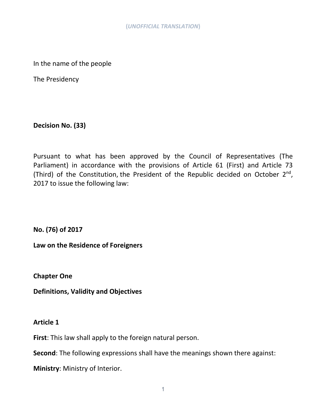In the name of the people

The Presidency

**Decision No. (33)**

Pursuant to what has been approved by the Council of Representatives (The Parliament) in accordance with the provisions of Article 61 (First) and Article 73 (Third) of the Constitution, the President of the Republic decided on October 2<sup>nd</sup>, 2017 to issue the following law:

**No. (76) of 2017**

**Law on the Residence of Foreigners**

**Chapter One**

**Definitions, Validity and Objectives**

#### **Article 1**

**First**: This law shall apply to the foreign natural person.

**Second**: The following expressions shall have the meanings shown there against:

**Ministry**: Ministry of Interior.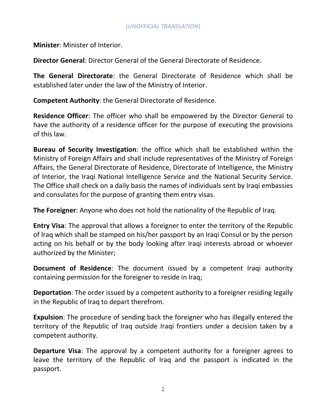**Minister**: Minister of Interior.

**Director General**: Director General of the General Directorate of Residence.

**The General Directorate**: the General Directorate of Residence which shall be established later under the law of the Ministry of Interior.

**Competent Authority**: the General Directorate of Residence.

**Residence Officer**: The officer who shall be empowered by the Director General to have the authority of a residence officer for the purpose of executing the provisions of this law.

**Bureau of Security Investigation**: the office which shall be established within the Ministry of Foreign Affairs and shall include representatives of the Ministry of Foreign Affairs, the General Directorate of Residence, Directorate of Intelligence, the Ministry of Interior, the Iraqi National Intelligence Service and the National Security Service. The Office shall check on a daily basis the names of individuals sent by Iraqi embassies and consulates for the purpose of granting them entry visas.

**The Foreigner**: Anyone who does not hold the nationality of the Republic of Iraq.

**Entry Visa**: The approval that allows a foreigner to enter the territory of the Republic of Iraq which shall be stamped on his/her passport by an Iraqi Consul or by the person acting on his behalf or by the body looking after Iraqi interests abroad or whoever authorized by the Minister;

**Document of Residence**: The document issued by a competent Iraqi authority containing permission for the foreigner to reside in Iraq;

**Deportation**: The order issued by a competent authority to a foreigner residing legally in the Republic of Iraq to depart therefrom.

**Expulsion**: The procedure of sending back the foreigner who has illegally entered the territory of the Republic of Iraq outside Iraqi frontiers under a decision taken by a competent authority.

**Departure Visa**: The approval by a competent authority for a foreigner agrees to leave the territory of the Republic of Iraq and the passport is indicated in the passport.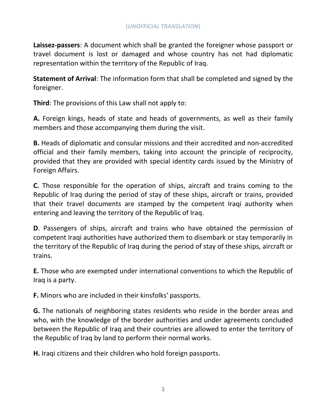**Laissez-passers**: A document which shall be granted the foreigner whose passport or travel document is lost or damaged and whose country has not had diplomatic representation within the territory of the Republic of Iraq.

**Statement of Arrival**: The information form that shall be completed and signed by the foreigner.

**Third**: The provisions of this Law shall not apply to:

**A.** Foreign kings, heads of state and heads of governments, as well as their family members and those accompanying them during the visit.

**B.** Heads of diplomatic and consular missions and their accredited and non-accredited official and their family members, taking into account the principle of reciprocity, provided that they are provided with special identity cards issued by the Ministry of Foreign Affairs.

**C.** Those responsible for the operation of ships, aircraft and trains coming to the Republic of Iraq during the period of stay of these ships, aircraft or trains, provided that their travel documents are stamped by the competent Iraqi authority when entering and leaving the territory of the Republic of Iraq.

**D**. Passengers of ships, aircraft and trains who have obtained the permission of competent Iraqi authorities have authorized them to disembark or stay temporarily in the territory of the Republic of Iraq during the period of stay of these ships, aircraft or trains.

**E.** Those who are exempted under international conventions to which the Republic of Iraq is a party.

**F.** Minors who are included in their kinsfolks' passports.

**G.** The nationals of neighboring states residents who reside in the border areas and who, with the knowledge of the border authorities and under agreements concluded between the Republic of Iraq and their countries are allowed to enter the territory of the Republic of Iraq by land to perform their normal works.

**H.** Iraqi citizens and their children who hold foreign passports.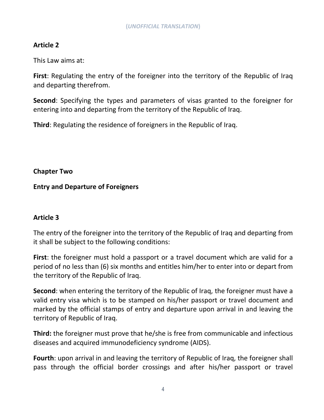# **Article 2**

This Law aims at:

**First**: Regulating the entry of the foreigner into the territory of the Republic of Iraq and departing therefrom.

**Second**: Specifying the types and parameters of visas granted to the foreigner for entering into and departing from the territory of the Republic of Iraq.

**Third**: Regulating the residence of foreigners in the Republic of Iraq.

## **Chapter Two**

## **Entry and Departure of Foreigners**

# **Article 3**

The entry of the foreigner into the territory of the Republic of Iraq and departing from it shall be subject to the following conditions:

**First**: the foreigner must hold a passport or a travel document which are valid for a period of no less than (6) six months and entitles him/her to enter into or depart from the territory of the Republic of Iraq.

**Second**: when entering the territory of the Republic of Iraq, the foreigner must have a valid entry visa which is to be stamped on his/her passport or travel document and marked by the official stamps of entry and departure upon arrival in and leaving the territory of Republic of Iraq.

**Third:** the foreigner must prove that he/she is free from communicable and infectious diseases and acquired immunodeficiency syndrome (AIDS).

**Fourth**: upon arrival in and leaving the territory of Republic of Iraq, the foreigner shall pass through the official border crossings and after his/her passport or travel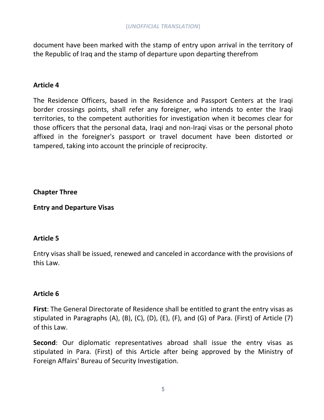document have been marked with the stamp of entry upon arrival in the territory of the Republic of Iraq and the stamp of departure upon departing therefrom

### **Article 4**

The Residence Officers, based in the Residence and Passport Centers at the Iraqi border crossings points, shall refer any foreigner, who intends to enter the Iraqi territories, to the competent authorities for investigation when it becomes clear for those officers that the personal data, Iraqi and non-Iraqi visas or the personal photo affixed in the foreigner's passport or travel document have been distorted or tampered, taking into account the principle of reciprocity.

**Chapter Three**

**Entry and Departure Visas**

### **Article 5**

Entry visas shall be issued, renewed and canceled in accordance with the provisions of this Law.

### **Article 6**

**First**: The General Directorate of Residence shall be entitled to grant the entry visas as stipulated in Paragraphs (A), (B), (C), (D), (E), (F), and (G) of Para. (First) of Article (7) of this Law.

**Second**: Our diplomatic representatives abroad shall issue the entry visas as stipulated in Para. (First) of this Article after being approved by the Ministry of Foreign Affairs' Bureau of Security Investigation.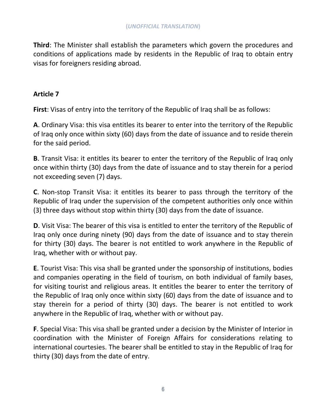**Third**: The Minister shall establish the parameters which govern the procedures and conditions of applications made by residents in the Republic of Iraq to obtain entry visas for foreigners residing abroad.

### **Article 7**

**First**: Visas of entry into the territory of the Republic of Iraq shall be as follows:

**A**. Ordinary Visa: this visa entitles its bearer to enter into the territory of the Republic of Iraq only once within sixty (60) days from the date of issuance and to reside therein for the said period.

**B**. Transit Visa: it entitles its bearer to enter the territory of the Republic of Iraq only once within thirty (30) days from the date of issuance and to stay therein for a period not exceeding seven (7) days.

**C**. Non-stop Transit Visa: it entitles its bearer to pass through the territory of the Republic of Iraq under the supervision of the competent authorities only once within (3) three days without stop within thirty (30) days from the date of issuance.

**D**. Visit Visa: The bearer of this visa is entitled to enter the territory of the Republic of Iraq only once during ninety (90) days from the date of issuance and to stay therein for thirty (30) days. The bearer is not entitled to work anywhere in the Republic of Iraq, whether with or without pay.

**E**. Tourist Visa: This visa shall be granted under the sponsorship of institutions, bodies and companies operating in the field of tourism, on both individual of family bases, for visiting tourist and religious areas. It entitles the bearer to enter the territory of the Republic of Iraq only once within sixty (60) days from the date of issuance and to stay therein for a period of thirty (30) days. The bearer is not entitled to work anywhere in the Republic of Iraq, whether with or without pay.

**F**. Special Visa: This visa shall be granted under a decision by the Minister of Interior in coordination with the Minister of Foreign Affairs for considerations relating to international courtesies. The bearer shall be entitled to stay in the Republic of Iraq for thirty (30) days from the date of entry.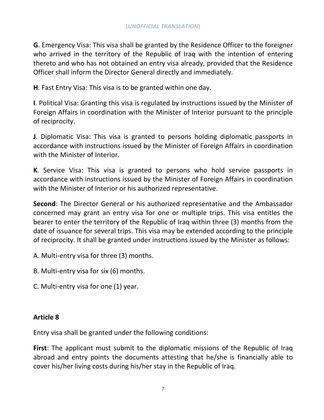**G**. Emergency Visa: This visa shall be granted by the Residence Officer to the foreigner who arrived in the territory of the Republic of Iraq with the intention of entering thereto and who has not obtained an entry visa already, provided that the Residence Officer shall inform the Director General directly and immediately.

**H**. Fast Entry Visa: This visa is to be granted within one day.

**I**. Political Visa: Granting this visa is regulated by instructions issued by the Minister of Foreign Affairs in coordination with the Minister of Interior pursuant to the principle of reciprocity.

**J**. Diplomatic Visa: This visa is granted to persons holding diplomatic passports in accordance with instructions issued by the Minister of Foreign Affairs in coordination with the Minister of Interior.

**K**. Service Visa: This visa is granted to persons who hold service passports in accordance with instructions issued by the Minister of Foreign Affairs in coordination with the Minister of Interior or his authorized representative.

**Second**: The Director General or his authorized representative and the Ambassador concerned may grant an entry visa for one or multiple trips. This visa entitles the bearer to enter the territory of the Republic of Iraq within three (3) months from the date of issuance for several trips. This visa may be extended according to the principle of reciprocity. It shall be granted under instructions issued by the Minister as follows:

A. Multi-entry visa for three (3) months.

B. Multi-entry visa for six (6) months.

C. Multi-entry visa for one (1) year.

# **Article 8**

Entry visa shall be granted under the following conditions:

**First**: The applicant must submit to the diplomatic missions of the Republic of Iraq abroad and entry points the documents attesting that he/she is financially able to cover his/her living costs during his/her stay in the Republic of Iraq.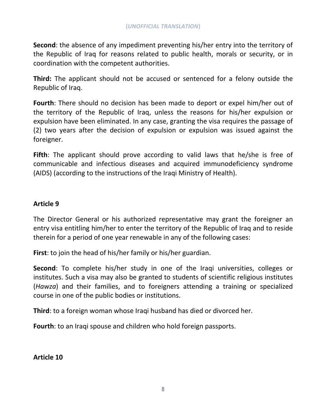**Second**: the absence of any impediment preventing his/her entry into the territory of the Republic of Iraq for reasons related to public health, morals or security, or in coordination with the competent authorities.

**Third:** The applicant should not be accused or sentenced for a felony outside the Republic of Iraq.

**Fourth**: There should no decision has been made to deport or expel him/her out of the territory of the Republic of Iraq, unless the reasons for his/her expulsion or expulsion have been eliminated. In any case, granting the visa requires the passage of (2) two years after the decision of expulsion or expulsion was issued against the foreigner.

**Fifth**: The applicant should prove according to valid laws that he/she is free of communicable and infectious diseases and acquired immunodeficiency syndrome (AIDS) (according to the instructions of the Iraqi Ministry of Health).

#### **Article 9**

The Director General or his authorized representative may grant the foreigner an entry visa entitling him/her to enter the territory of the Republic of Iraq and to reside therein for a period of one year renewable in any of the following cases:

**First**: to join the head of his/her family or his/her guardian.

**Second**: To complete his/her study in one of the Iraqi universities, colleges or institutes. Such a visa may also be granted to students of scientific religious institutes (*Hawza*) and their families, and to foreigners attending a training or specialized course in one of the public bodies or institutions.

**Third**: to a foreign woman whose Iraqi husband has died or divorced her.

**Fourth**: to an Iraqi spouse and children who hold foreign passports.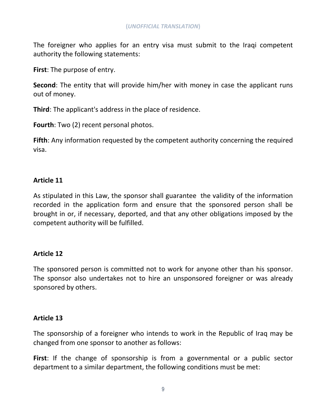The foreigner who applies for an entry visa must submit to the Iraqi competent authority the following statements:

**First**: The purpose of entry.

**Second**: The entity that will provide him/her with money in case the applicant runs out of money.

**Third**: The applicant's address in the place of residence.

**Fourth**: Two (2) recent personal photos.

**Fifth**: Any information requested by the competent authority concerning the required visa.

## **Article 11**

As stipulated in this Law, the sponsor shall guarantee the validity of the information recorded in the application form and ensure that the sponsored person shall be brought in or, if necessary, deported, and that any other obligations imposed by the competent authority will be fulfilled.

### **Article 12**

The sponsored person is committed not to work for anyone other than his sponsor. The sponsor also undertakes not to hire an unsponsored foreigner or was already sponsored by others.

### **Article 13**

The sponsorship of a foreigner who intends to work in the Republic of Iraq may be changed from one sponsor to another as follows:

**First**: If the change of sponsorship is from a governmental or a public sector department to a similar department, the following conditions must be met: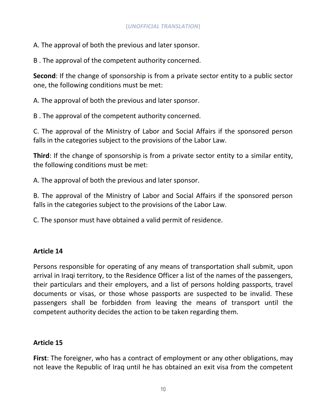A. The approval of both the previous and later sponsor.

B . The approval of the competent authority concerned.

**Second**: If the change of sponsorship is from a private sector entity to a public sector one, the following conditions must be met:

A. The approval of both the previous and later sponsor.

B . The approval of the competent authority concerned.

C. The approval of the Ministry of Labor and Social Affairs if the sponsored person falls in the categories subject to the provisions of the Labor Law.

**Third**: If the change of sponsorship is from a private sector entity to a similar entity, the following conditions must be met:

A. The approval of both the previous and later sponsor.

B. The approval of the Ministry of Labor and Social Affairs if the sponsored person falls in the categories subject to the provisions of the Labor Law.

C. The sponsor must have obtained a valid permit of residence.

# **Article 14**

Persons responsible for operating of any means of transportation shall submit, upon arrival in Iraqi territory, to the Residence Officer a list of the names of the passengers, their particulars and their employers, and a list of persons holding passports, travel documents or visas, or those whose passports are suspected to be invalid. These passengers shall be forbidden from leaving the means of transport until the competent authority decides the action to be taken regarding them.

# **Article 15**

**First**: The foreigner, who has a contract of employment or any other obligations, may not leave the Republic of Iraq until he has obtained an exit visa from the competent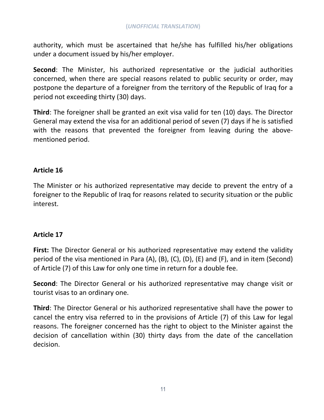authority, which must be ascertained that he/she has fulfilled his/her obligations under a document issued by his/her employer.

**Second**: The Minister, his authorized representative or the judicial authorities concerned, when there are special reasons related to public security or order, may postpone the departure of a foreigner from the territory of the Republic of Iraq for a period not exceeding thirty (30) days.

**Third**: The foreigner shall be granted an exit visa valid for ten (10) days. The Director General may extend the visa for an additional period of seven (7) days if he is satisfied with the reasons that prevented the foreigner from leaving during the abovementioned period.

### **Article 16**

The Minister or his authorized representative may decide to prevent the entry of a foreigner to the Republic of Iraq for reasons related to security situation or the public interest.

### **Article 17**

**First:** The Director General or his authorized representative may extend the validity period of the visa mentioned in Para (A), (B), (C), (D), (E) and (F), and in item (Second) of Article (7) of this Law for only one time in return for a double fee.

**Second**: The Director General or his authorized representative may change visit or tourist visas to an ordinary one.

**Third**: The Director General or his authorized representative shall have the power to cancel the entry visa referred to in the provisions of Article (7) of this Law for legal reasons. The foreigner concerned has the right to object to the Minister against the decision of cancellation within (30) thirty days from the date of the cancellation decision.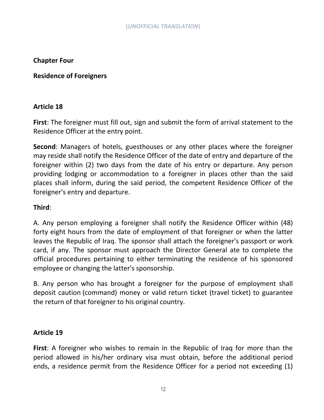## **Chapter Four**

### **Residence of Foreigners**

## **Article 18**

**First**: The foreigner must fill out, sign and submit the form of arrival statement to the Residence Officer at the entry point.

**Second**: Managers of hotels, guesthouses or any other places where the foreigner may reside shall notify the Residence Officer of the date of entry and departure of the foreigner within (2) two days from the date of his entry or departure. Any person providing lodging or accommodation to a foreigner in places other than the said places shall inform, during the said period, the competent Residence Officer of the foreigner's entry and departure.

## **Third**:

A. Any person employing a foreigner shall notify the Residence Officer within (48) forty eight hours from the date of employment of that foreigner or when the latter leaves the Republic of Iraq. The sponsor shall attach the foreigner's passport or work card, if any. The sponsor must approach the Director General ate to complete the official procedures pertaining to either terminating the residence of his sponsored employee or changing the latter's sponsorship.

B. Any person who has brought a foreigner for the purpose of employment shall deposit caution (command) money or valid return ticket (travel ticket) to guarantee the return of that foreigner to his original country.

### **Article 19**

**First**: A foreigner who wishes to remain in the Republic of Iraq for more than the period allowed in his/her ordinary visa must obtain, before the additional period ends, a residence permit from the Residence Officer for a period not exceeding (1)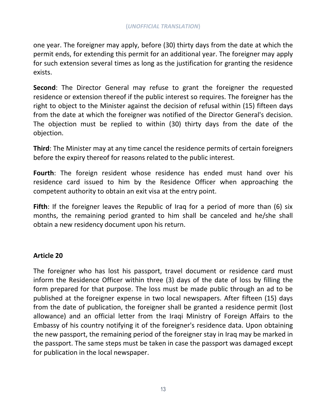one year. The foreigner may apply, before (30) thirty days from the date at which the permit ends, for extending this permit for an additional year. The foreigner may apply for such extension several times as long as the justification for granting the residence exists.

**Second**: The Director General may refuse to grant the foreigner the requested residence or extension thereof if the public interest so requires. The foreigner has the right to object to the Minister against the decision of refusal within (15) fifteen days from the date at which the foreigner was notified of the Director General's decision. The objection must be replied to within (30) thirty days from the date of the objection.

**Third**: The Minister may at any time cancel the residence permits of certain foreigners before the expiry thereof for reasons related to the public interest.

**Fourth**: The foreign resident whose residence has ended must hand over his residence card issued to him by the Residence Officer when approaching the competent authority to obtain an exit visa at the entry point.

**Fifth**: If the foreigner leaves the Republic of Iraq for a period of more than (6) six months, the remaining period granted to him shall be canceled and he/she shall obtain a new residency document upon his return.

### **Article 20**

The foreigner who has lost his passport, travel document or residence card must inform the Residence Officer within three (3) days of the date of loss by filling the form prepared for that purpose. The loss must be made public through an ad to be published at the foreigner expense in two local newspapers. After fifteen (15) days from the date of publication, the foreigner shall be granted a residence permit (lost allowance) and an official letter from the Iraqi Ministry of Foreign Affairs to the Embassy of his country notifying it of the foreigner's residence data. Upon obtaining the new passport, the remaining period of the foreigner stay in Iraq may be marked in the passport. The same steps must be taken in case the passport was damaged except for publication in the local newspaper.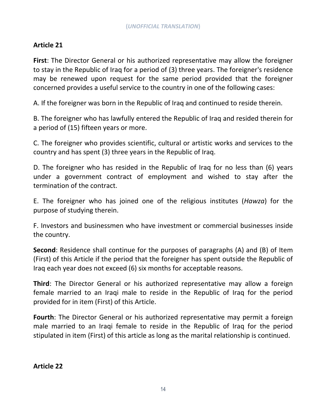# **Article 21**

**First**: The Director General or his authorized representative may allow the foreigner to stay in the Republic of Iraq for a period of (3) three years. The foreigner's residence may be renewed upon request for the same period provided that the foreigner concerned provides a useful service to the country in one of the following cases:

A. If the foreigner was born in the Republic of Iraq and continued to reside therein.

B. The foreigner who has lawfully entered the Republic of Iraq and resided therein for a period of (15) fifteen years or more.

C. The foreigner who provides scientific, cultural or artistic works and services to the country and has spent (3) three years in the Republic of Iraq.

D. The foreigner who has resided in the Republic of Iraq for no less than (6) years under a government contract of employment and wished to stay after the termination of the contract.

E. The foreigner who has joined one of the religious institutes (*Hawza*) for the purpose of studying therein.

F. Investors and businessmen who have investment or commercial businesses inside the country.

**Second**: Residence shall continue for the purposes of paragraphs (A) and (B) of Item (First) of this Article if the period that the foreigner has spent outside the Republic of Iraq each year does not exceed (6) six months for acceptable reasons.

**Third**: The Director General or his authorized representative may allow a foreign female married to an Iraqi male to reside in the Republic of Iraq for the period provided for in item (First) of this Article.

**Fourth**: The Director General or his authorized representative may permit a foreign male married to an Iraqi female to reside in the Republic of Iraq for the period stipulated in item (First) of this article as long as the marital relationship is continued.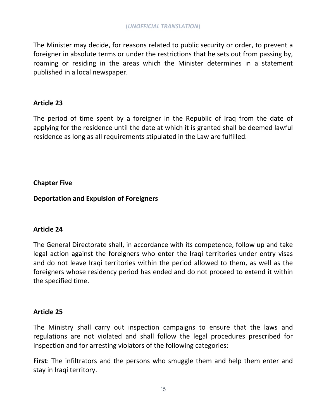The Minister may decide, for reasons related to public security or order, to prevent a foreigner in absolute terms or under the restrictions that he sets out from passing by, roaming or residing in the areas which the Minister determines in a statement published in a local newspaper.

### **Article 23**

The period of time spent by a foreigner in the Republic of Iraq from the date of applying for the residence until the date at which it is granted shall be deemed lawful residence as long as all requirements stipulated in the Law are fulfilled.

# **Chapter Five**

**Deportation and Expulsion of Foreigners** 

### **Article 24**

The General Directorate shall, in accordance with its competence, follow up and take legal action against the foreigners who enter the Iraqi territories under entry visas and do not leave Iraqi territories within the period allowed to them, as well as the foreigners whose residency period has ended and do not proceed to extend it within the specified time.

# **Article 25**

The Ministry shall carry out inspection campaigns to ensure that the laws and regulations are not violated and shall follow the legal procedures prescribed for inspection and for arresting violators of the following categories:

**First**: The infiltrators and the persons who smuggle them and help them enter and stay in Iraqi territory.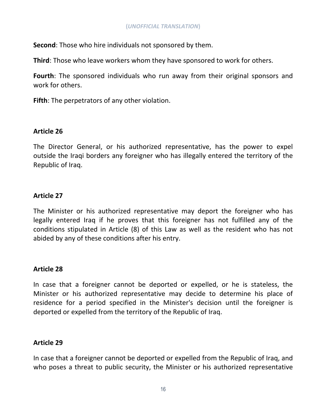**Second**: Those who hire individuals not sponsored by them.

**Third**: Those who leave workers whom they have sponsored to work for others.

**Fourth**: The sponsored individuals who run away from their original sponsors and work for others.

**Fifth**: The perpetrators of any other violation.

#### **Article 26**

The Director General, or his authorized representative, has the power to expel outside the Iraqi borders any foreigner who has illegally entered the territory of the Republic of Iraq.

### **Article 27**

The Minister or his authorized representative may deport the foreigner who has legally entered Iraq if he proves that this foreigner has not fulfilled any of the conditions stipulated in Article (8) of this Law as well as the resident who has not abided by any of these conditions after his entry.

#### **Article 28**

In case that a foreigner cannot be deported or expelled, or he is stateless, the Minister or his authorized representative may decide to determine his place of residence for a period specified in the Minister's decision until the foreigner is deported or expelled from the territory of the Republic of Iraq.

### **Article 29**

In case that a foreigner cannot be deported or expelled from the Republic of Iraq, and who poses a threat to public security, the Minister or his authorized representative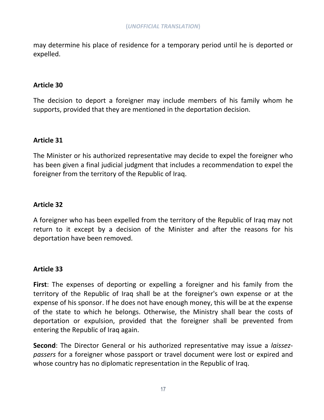may determine his place of residence for a temporary period until he is deported or expelled.

### **Article 30**

The decision to deport a foreigner may include members of his family whom he supports, provided that they are mentioned in the deportation decision.

### **Article 31**

The Minister or his authorized representative may decide to expel the foreigner who has been given a final judicial judgment that includes a recommendation to expel the foreigner from the territory of the Republic of Iraq.

### **Article 32**

A foreigner who has been expelled from the territory of the Republic of Iraq may not return to it except by a decision of the Minister and after the reasons for his deportation have been removed.

### **Article 33**

**First**: The expenses of deporting or expelling a foreigner and his family from the territory of the Republic of Iraq shall be at the foreigner's own expense or at the expense of his sponsor. If he does not have enough money, this will be at the expense of the state to which he belongs. Otherwise, the Ministry shall bear the costs of deportation or expulsion, provided that the foreigner shall be prevented from entering the Republic of Iraq again.

**Second**: The Director General or his authorized representative may issue a *laissezpassers* for a foreigner whose passport or travel document were lost or expired and whose country has no diplomatic representation in the Republic of Iraq.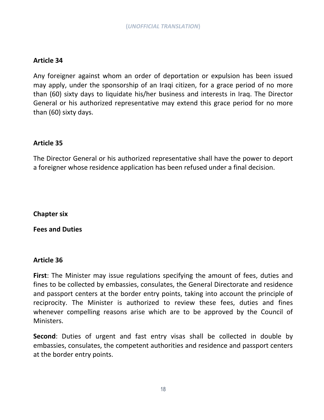#### **Article 34**

Any foreigner against whom an order of deportation or expulsion has been issued may apply, under the sponsorship of an Iraqi citizen, for a grace period of no more than (60) sixty days to liquidate his/her business and interests in Iraq. The Director General or his authorized representative may extend this grace period for no more than (60) sixty days.

### **Article 35**

The Director General or his authorized representative shall have the power to deport a foreigner whose residence application has been refused under a final decision.

**Chapter six**

**Fees and Duties**

#### **Article 36**

**First**: The Minister may issue regulations specifying the amount of fees, duties and fines to be collected by embassies, consulates, the General Directorate and residence and passport centers at the border entry points, taking into account the principle of reciprocity. The Minister is authorized to review these fees, duties and fines whenever compelling reasons arise which are to be approved by the Council of Ministers.

**Second**: Duties of urgent and fast entry visas shall be collected in double by embassies, consulates, the competent authorities and residence and passport centers at the border entry points.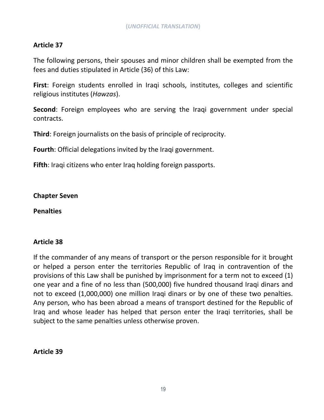# **Article 37**

The following persons, their spouses and minor children shall be exempted from the fees and duties stipulated in Article (36) of this Law:

**First**: Foreign students enrolled in Iraqi schools, institutes, colleges and scientific religious institutes (*Hawzas*).

**Second**: Foreign employees who are serving the Iraqi government under special contracts.

**Third**: Foreign journalists on the basis of principle of reciprocity.

**Fourth**: Official delegations invited by the Iraqi government.

**Fifth**: Iraqi citizens who enter Iraq holding foreign passports.

**Chapter Seven**

**Penalties**

### **Article 38**

If the commander of any means of transport or the person responsible for it brought or helped a person enter the territories Republic of Iraq in contravention of the provisions of this Law shall be punished by imprisonment for a term not to exceed (1) one year and a fine of no less than (500,000) five hundred thousand Iraqi dinars and not to exceed (1,000,000) one million Iraqi dinars or by one of these two penalties. Any person, who has been abroad a means of transport destined for the Republic of Iraq and whose leader has helped that person enter the Iraqi territories, shall be subject to the same penalties unless otherwise proven.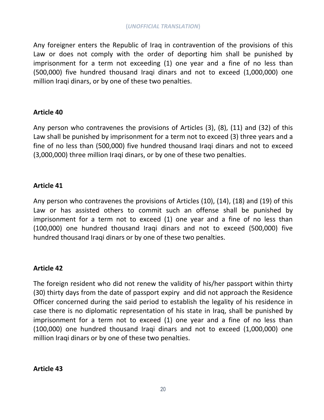Any foreigner enters the Republic of Iraq in contravention of the provisions of this Law or does not comply with the order of deporting him shall be punished by imprisonment for a term not exceeding (1) one year and a fine of no less than (500,000) five hundred thousand Iraqi dinars and not to exceed (1,000,000) one million Iraqi dinars, or by one of these two penalties.

### **Article 40**

Any person who contravenes the provisions of Articles (3), (8), (11) and (32) of this Law shall be punished by imprisonment for a term not to exceed (3) three years and a fine of no less than (500,000) five hundred thousand Iraqi dinars and not to exceed (3,000,000) three million Iraqi dinars, or by one of these two penalties.

### **Article 41**

Any person who contravenes the provisions of Articles (10), (14), (18) and (19) of this Law or has assisted others to commit such an offense shall be punished by imprisonment for a term not to exceed (1) one year and a fine of no less than (100,000) one hundred thousand Iraqi dinars and not to exceed (500,000) five hundred thousand Iraqi dinars or by one of these two penalties.

### **Article 42**

The foreign resident who did not renew the validity of his/her passport within thirty (30) thirty days from the date of passport expiry and did not approach the Residence Officer concerned during the said period to establish the legality of his residence in case there is no diplomatic representation of his state in Iraq, shall be punished by imprisonment for a term not to exceed (1) one year and a fine of no less than (100,000) one hundred thousand Iraqi dinars and not to exceed (1,000,000) one million Iraqi dinars or by one of these two penalties.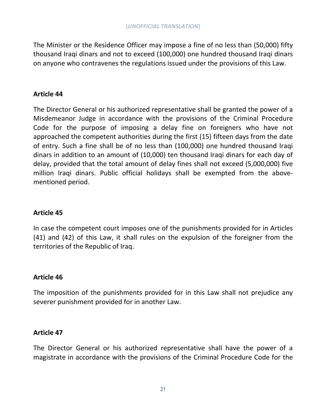The Minister or the Residence Officer may impose a fine of no less than (50,000) fifty thousand Iraqi dinars and not to exceed (100,000) one hundred thousand Iraqi dinars on anyone who contravenes the regulations issued under the provisions of this Law.

### **Article 44**

The Director General or his authorized representative shall be granted the power of a Misdemeanor Judge in accordance with the provisions of the Criminal Procedure Code for the purpose of imposing a delay fine on foreigners who have not approached the competent authorities during the first (15) fifteen days from the date of entry. Such a fine shall be of no less than (100,000) one hundred thousand Iraqi dinars in addition to an amount of (10,000) ten thousand Iraqi dinars for each day of delay, provided that the total amount of delay fines shall not exceed (5,000,000) five million Iraqi dinars. Public official holidays shall be exempted from the abovementioned period.

# **Article 45**

In case the competent court imposes one of the punishments provided for in Articles (41) and (42) of this Law, it shall rules on the expulsion of the foreigner from the territories of the Republic of Iraq.

# **Article 46**

The imposition of the punishments provided for in this Law shall not prejudice any severer punishment provided for in another Law.

### **Article 47**

The Director General or his authorized representative shall have the power of a magistrate in accordance with the provisions of the Criminal Procedure Code for the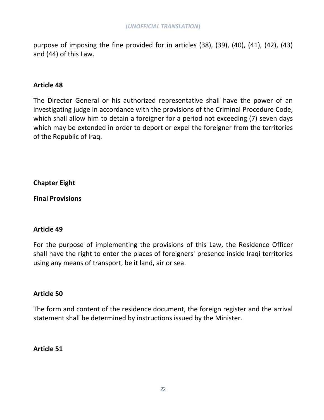purpose of imposing the fine provided for in articles (38), (39), (40), (41), (42), (43) and (44) of this Law.

#### **Article 48**

The Director General or his authorized representative shall have the power of an investigating judge in accordance with the provisions of the Criminal Procedure Code, which shall allow him to detain a foreigner for a period not exceeding (7) seven days which may be extended in order to deport or expel the foreigner from the territories of the Republic of Iraq.

**Chapter Eight**

**Final Provisions**

#### **Article 49**

For the purpose of implementing the provisions of this Law, the Residence Officer shall have the right to enter the places of foreigners' presence inside Iraqi territories using any means of transport, be it land, air or sea.

#### **Article 50**

The form and content of the residence document, the foreign register and the arrival statement shall be determined by instructions issued by the Minister.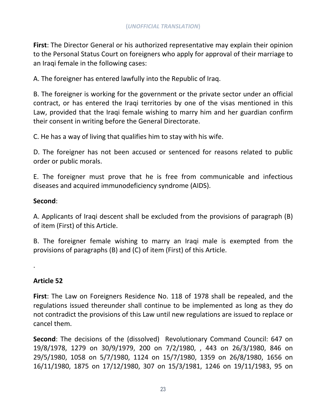**First**: The Director General or his authorized representative may explain their opinion to the Personal Status Court on foreigners who apply for approval of their marriage to an Iraqi female in the following cases:

A. The foreigner has entered lawfully into the Republic of Iraq.

B. The foreigner is working for the government or the private sector under an official contract, or has entered the Iraqi territories by one of the visas mentioned in this Law, provided that the Iraqi female wishing to marry him and her guardian confirm their consent in writing before the General Directorate.

C. He has a way of living that qualifies him to stay with his wife.

D. The foreigner has not been accused or sentenced for reasons related to public order or public morals.

E. The foreigner must prove that he is free from communicable and infectious diseases and acquired immunodeficiency syndrome (AIDS).

### **Second**:

A. Applicants of Iraqi descent shall be excluded from the provisions of paragraph (B) of item (First) of this Article.

B. The foreigner female wishing to marry an Iraqi male is exempted from the provisions of paragraphs (B) and (C) of item (First) of this Article.

# **Article 52**

.

**First**: The Law on Foreigners Residence No. 118 of 1978 shall be repealed, and the regulations issued thereunder shall continue to be implemented as long as they do not contradict the provisions of this Law until new regulations are issued to replace or cancel them.

**Second**: The decisions of the (dissolved) Revolutionary Command Council: 647 on 19/8/1978, 1279 on 30/9/1979, 200 on 7/2/1980, , 443 on 26/3/1980, 846 on 29/5/1980, 1058 on 5/7/1980, 1124 on 15/7/1980, 1359 on 26/8/1980, 1656 on 16/11/1980, 1875 on 17/12/1980, 307 on 15/3/1981, 1246 on 19/11/1983, 95 on